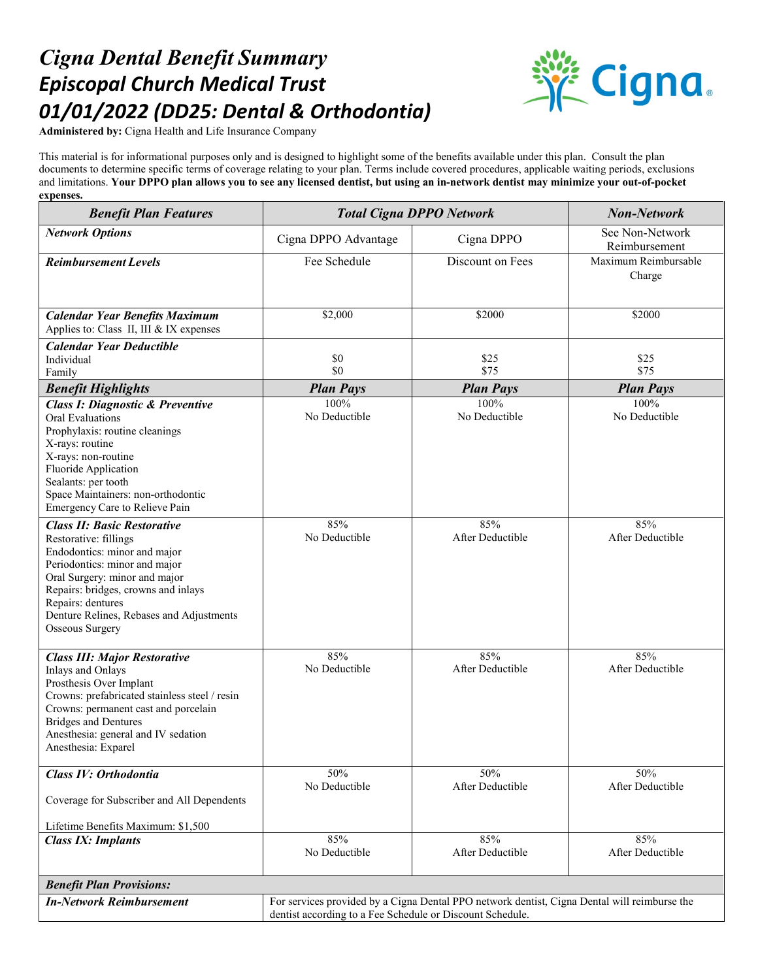## *Cigna Dental Benefit Summary Episcopal Church Medical Trust 01/01/2022 (DD25: Dental & Orthodontia)*



**Administered by:** Cigna Health and Life Insurance Company

This material is for informational purposes only and is designed to highlight some of the benefits available under this plan. Consult the plan documents to determine specific terms of coverage relating to your plan. Terms include covered procedures, applicable waiting periods, exclusions and limitations. **Your DPPO plan allows you to see any licensed dentist, but using an in-network dentist may minimize your out-of-pocket expenses.**

| <b>Benefit Plan Features</b>                                                                                                                                                                                                                                                                    | <b>Total Cigna DPPO Network</b>                                                                                                                           |                         | <b>Non-Network</b>               |
|-------------------------------------------------------------------------------------------------------------------------------------------------------------------------------------------------------------------------------------------------------------------------------------------------|-----------------------------------------------------------------------------------------------------------------------------------------------------------|-------------------------|----------------------------------|
| <b>Network Options</b>                                                                                                                                                                                                                                                                          | Cigna DPPO Advantage                                                                                                                                      | Cigna DPPO              | See Non-Network<br>Reimbursement |
| <b>Reimbursement Levels</b>                                                                                                                                                                                                                                                                     | Fee Schedule                                                                                                                                              | Discount on Fees        | Maximum Reimbursable<br>Charge   |
| <b>Calendar Year Benefits Maximum</b><br>Applies to: Class II, III & IX expenses                                                                                                                                                                                                                | \$2,000                                                                                                                                                   | \$2000                  | \$2000                           |
| <b>Calendar Year Deductible</b><br>Individual<br>Family                                                                                                                                                                                                                                         | \$0<br>\$0                                                                                                                                                | \$25<br>\$75            | \$25<br>\$75                     |
| <b>Benefit Highlights</b>                                                                                                                                                                                                                                                                       | <b>Plan Pays</b>                                                                                                                                          | <b>Plan Pays</b>        | <b>Plan Pays</b>                 |
| <b>Class I: Diagnostic &amp; Preventive</b><br><b>Oral Evaluations</b><br>Prophylaxis: routine cleanings<br>X-rays: routine<br>X-rays: non-routine<br>Fluoride Application<br>Sealants: per tooth<br>Space Maintainers: non-orthodontic<br>Emergency Care to Relieve Pain                       | 100%<br>No Deductible                                                                                                                                     | 100%<br>No Deductible   | 100%<br>No Deductible            |
| <b>Class II: Basic Restorative</b><br>Restorative: fillings<br>Endodontics: minor and major<br>Periodontics: minor and major<br>Oral Surgery: minor and major<br>Repairs: bridges, crowns and inlays<br>Repairs: dentures<br>Denture Relines, Rebases and Adjustments<br><b>Osseous Surgery</b> | 85%<br>No Deductible                                                                                                                                      | 85%<br>After Deductible | 85%<br>After Deductible          |
| <b>Class III: Major Restorative</b><br>Inlays and Onlays<br>Prosthesis Over Implant<br>Crowns: prefabricated stainless steel / resin<br>Crowns: permanent cast and porcelain<br><b>Bridges and Dentures</b><br>Anesthesia: general and IV sedation<br>Anesthesia: Exparel                       | 85%<br>No Deductible                                                                                                                                      | 85%<br>After Deductible | 85%<br>After Deductible          |
| Class IV: Orthodontia<br>Coverage for Subscriber and All Dependents<br>Lifetime Benefits Maximum: \$1,500                                                                                                                                                                                       | 50%<br>No Deductible                                                                                                                                      | 50%<br>After Deductible | 50%<br>After Deductible          |
| <b>Class IX: Implants</b>                                                                                                                                                                                                                                                                       | 85%<br>No Deductible                                                                                                                                      | 85%<br>After Deductible | 85%<br>After Deductible          |
| <b>Benefit Plan Provisions:</b>                                                                                                                                                                                                                                                                 |                                                                                                                                                           |                         |                                  |
| <b>In-Network Reimbursement</b>                                                                                                                                                                                                                                                                 | For services provided by a Cigna Dental PPO network dentist, Cigna Dental will reimburse the<br>dentist according to a Fee Schedule or Discount Schedule. |                         |                                  |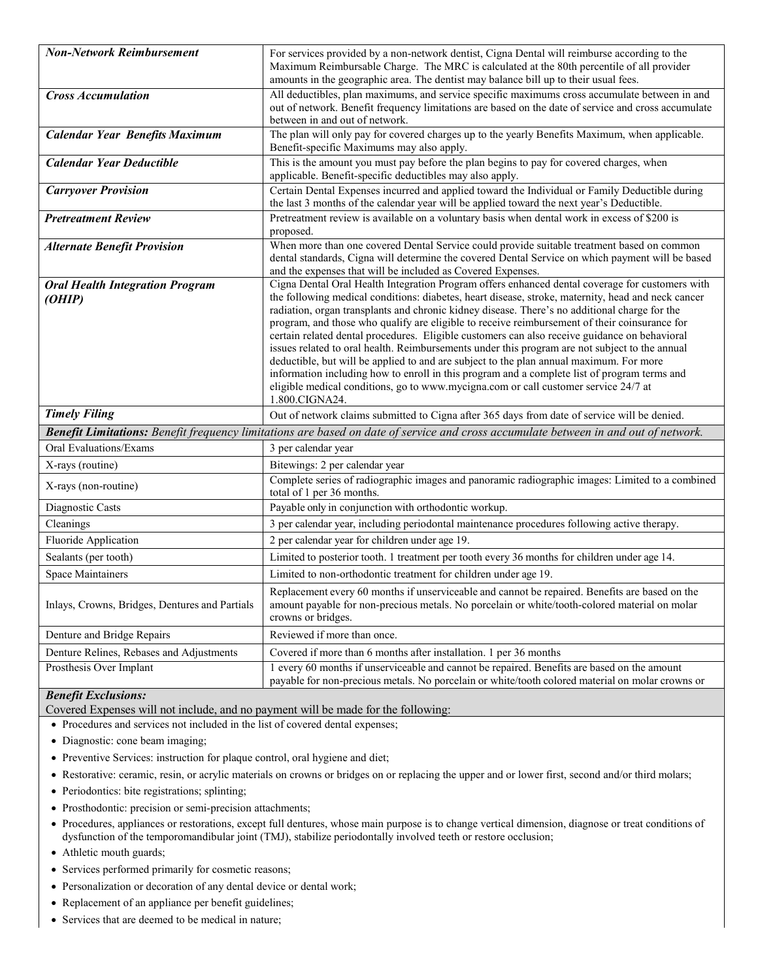| <b>Non-Network Reimbursement</b>                                                                                                    | For services provided by a non-network dentist, Cigna Dental will reimburse according to the<br>Maximum Reimbursable Charge. The MRC is calculated at the 80th percentile of all provider<br>amounts in the geographic area. The dentist may balance bill up to their usual fees.                                                                                                                                                                                                                                                                                                                                                                                                                                                                                                                                                                                                                              |  |
|-------------------------------------------------------------------------------------------------------------------------------------|----------------------------------------------------------------------------------------------------------------------------------------------------------------------------------------------------------------------------------------------------------------------------------------------------------------------------------------------------------------------------------------------------------------------------------------------------------------------------------------------------------------------------------------------------------------------------------------------------------------------------------------------------------------------------------------------------------------------------------------------------------------------------------------------------------------------------------------------------------------------------------------------------------------|--|
| <b>Cross Accumulation</b>                                                                                                           | All deductibles, plan maximums, and service specific maximums cross accumulate between in and<br>out of network. Benefit frequency limitations are based on the date of service and cross accumulate<br>between in and out of network.                                                                                                                                                                                                                                                                                                                                                                                                                                                                                                                                                                                                                                                                         |  |
| <b>Calendar Year Benefits Maximum</b>                                                                                               | The plan will only pay for covered charges up to the yearly Benefits Maximum, when applicable.<br>Benefit-specific Maximums may also apply.                                                                                                                                                                                                                                                                                                                                                                                                                                                                                                                                                                                                                                                                                                                                                                    |  |
| <b>Calendar Year Deductible</b>                                                                                                     | This is the amount you must pay before the plan begins to pay for covered charges, when<br>applicable. Benefit-specific deductibles may also apply.                                                                                                                                                                                                                                                                                                                                                                                                                                                                                                                                                                                                                                                                                                                                                            |  |
| <b>Carryover Provision</b>                                                                                                          | Certain Dental Expenses incurred and applied toward the Individual or Family Deductible during<br>the last 3 months of the calendar year will be applied toward the next year's Deductible.                                                                                                                                                                                                                                                                                                                                                                                                                                                                                                                                                                                                                                                                                                                    |  |
| <b>Pretreatment Review</b>                                                                                                          | Pretreatment review is available on a voluntary basis when dental work in excess of \$200 is<br>proposed.                                                                                                                                                                                                                                                                                                                                                                                                                                                                                                                                                                                                                                                                                                                                                                                                      |  |
| <b>Alternate Benefit Provision</b>                                                                                                  | When more than one covered Dental Service could provide suitable treatment based on common<br>dental standards, Cigna will determine the covered Dental Service on which payment will be based<br>and the expenses that will be included as Covered Expenses.                                                                                                                                                                                                                                                                                                                                                                                                                                                                                                                                                                                                                                                  |  |
| <b>Oral Health Integration Program</b><br>(OHIP)                                                                                    | Cigna Dental Oral Health Integration Program offers enhanced dental coverage for customers with<br>the following medical conditions: diabetes, heart disease, stroke, maternity, head and neck cancer<br>radiation, organ transplants and chronic kidney disease. There's no additional charge for the<br>program, and those who qualify are eligible to receive reimbursement of their coinsurance for<br>certain related dental procedures. Eligible customers can also receive guidance on behavioral<br>issues related to oral health. Reimbursements under this program are not subject to the annual<br>deductible, but will be applied to and are subject to the plan annual maximum. For more<br>information including how to enroll in this program and a complete list of program terms and<br>eligible medical conditions, go to www.mycigna.com or call customer service 24/7 at<br>1.800.CIGNA24. |  |
| <b>Timely Filing</b>                                                                                                                | Out of network claims submitted to Cigna after 365 days from date of service will be denied.                                                                                                                                                                                                                                                                                                                                                                                                                                                                                                                                                                                                                                                                                                                                                                                                                   |  |
| Benefit Limitations: Benefit frequency limitations are based on date of service and cross accumulate between in and out of network. |                                                                                                                                                                                                                                                                                                                                                                                                                                                                                                                                                                                                                                                                                                                                                                                                                                                                                                                |  |
| Oral Evaluations/Exams                                                                                                              | 3 per calendar year                                                                                                                                                                                                                                                                                                                                                                                                                                                                                                                                                                                                                                                                                                                                                                                                                                                                                            |  |
| X-rays (routine)                                                                                                                    | Bitewings: 2 per calendar year                                                                                                                                                                                                                                                                                                                                                                                                                                                                                                                                                                                                                                                                                                                                                                                                                                                                                 |  |
| X-rays (non-routine)                                                                                                                | Complete series of radiographic images and panoramic radiographic images: Limited to a combined<br>total of 1 per 36 months.                                                                                                                                                                                                                                                                                                                                                                                                                                                                                                                                                                                                                                                                                                                                                                                   |  |
| Diagnostic Casts                                                                                                                    | Payable only in conjunction with orthodontic workup.                                                                                                                                                                                                                                                                                                                                                                                                                                                                                                                                                                                                                                                                                                                                                                                                                                                           |  |
| Cleanings                                                                                                                           | 3 per calendar year, including periodontal maintenance procedures following active therapy.                                                                                                                                                                                                                                                                                                                                                                                                                                                                                                                                                                                                                                                                                                                                                                                                                    |  |
| Fluoride Application                                                                                                                | 2 per calendar year for children under age 19.                                                                                                                                                                                                                                                                                                                                                                                                                                                                                                                                                                                                                                                                                                                                                                                                                                                                 |  |
| Sealants (per tooth)                                                                                                                | Limited to posterior tooth. 1 treatment per tooth every 36 months for children under age 14.                                                                                                                                                                                                                                                                                                                                                                                                                                                                                                                                                                                                                                                                                                                                                                                                                   |  |
| Space Maintainers                                                                                                                   | Limited to non-orthodontic treatment for children under age 19.                                                                                                                                                                                                                                                                                                                                                                                                                                                                                                                                                                                                                                                                                                                                                                                                                                                |  |
| Inlays, Crowns, Bridges, Dentures and Partials                                                                                      | Replacement every 60 months if unserviceable and cannot be repaired. Benefits are based on the<br>amount payable for non-precious metals. No porcelain or white/tooth-colored material on molar<br>crowns or bridges.                                                                                                                                                                                                                                                                                                                                                                                                                                                                                                                                                                                                                                                                                          |  |
| Denture and Bridge Repairs                                                                                                          | Reviewed if more than once.                                                                                                                                                                                                                                                                                                                                                                                                                                                                                                                                                                                                                                                                                                                                                                                                                                                                                    |  |
| Denture Relines, Rebases and Adjustments                                                                                            | Covered if more than 6 months after installation. 1 per 36 months                                                                                                                                                                                                                                                                                                                                                                                                                                                                                                                                                                                                                                                                                                                                                                                                                                              |  |
| Prosthesis Over Implant                                                                                                             | 1 every 60 months if unserviceable and cannot be repaired. Benefits are based on the amount<br>payable for non-precious metals. No porcelain or white/tooth colored material on molar crowns or                                                                                                                                                                                                                                                                                                                                                                                                                                                                                                                                                                                                                                                                                                                |  |

## *Benefit Exclusions:*

Covered Expenses will not include, and no payment will be made for the following:

• Procedures and services not included in the list of covered dental expenses;

- Diagnostic: cone beam imaging;
- Preventive Services: instruction for plaque control, oral hygiene and diet;
- Restorative: ceramic, resin, or acrylic materials on crowns or bridges on or replacing the upper and or lower first, second and/or third molars;
- Periodontics: bite registrations; splinting;
- Prosthodontic: precision or semi-precision attachments;
- Procedures, appliances or restorations, except full dentures, whose main purpose is to change vertical dimension, diagnose or treat conditions of dysfunction of the temporomandibular joint (TMJ), stabilize periodontally involved teeth or restore occlusion;
- Athletic mouth guards;
- Services performed primarily for cosmetic reasons;
- Personalization or decoration of any dental device or dental work;
- Replacement of an appliance per benefit guidelines;
- Services that are deemed to be medical in nature;